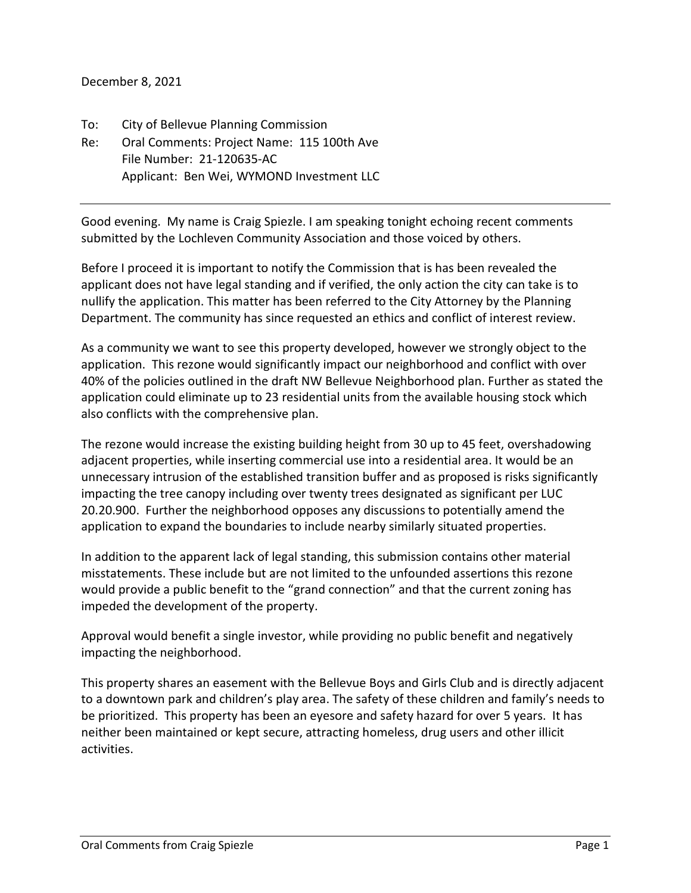December 8, 2021

To: City of Bellevue Planning Commission Re: Oral Comments: Project Name: 115 100th Ave File Number: 21-120635-AC Applicant: Ben Wei, WYMOND Investment LLC

Good evening. My name is Craig Spiezle. I am speaking tonight echoing recent comments submitted by the Lochleven Community Association and those voiced by others.

Before I proceed it is important to notify the Commission that is has been revealed the applicant does not have legal standing and if verified, the only action the city can take is to nullify the application. This matter has been referred to the City Attorney by the Planning Department. The community has since requested an ethics and conflict of interest review.

As a community we want to see this property developed, however we strongly object to the application. This rezone would significantly impact our neighborhood and conflict with over 40% of the policies outlined in the draft NW Bellevue Neighborhood plan. Further as stated the application could eliminate up to 23 residential units from the available housing stock which also conflicts with the comprehensive plan.

The rezone would increase the existing building height from 30 up to 45 feet, overshadowing adjacent properties, while inserting commercial use into a residential area. It would be an unnecessary intrusion of the established transition buffer and as proposed is risks significantly impacting the tree canopy including over twenty trees designated as significant per LUC 20.20.900. Further the neighborhood opposes any discussions to potentially amend the application to expand the boundaries to include nearby similarly situated properties.

In addition to the apparent lack of legal standing, this submission contains other material misstatements. These include but are not limited to the unfounded assertions this rezone would provide a public benefit to the "grand connection" and that the current zoning has impeded the development of the property.

Approval would benefit a single investor, while providing no public benefit and negatively impacting the neighborhood.

This property shares an easement with the Bellevue Boys and Girls Club and is directly adjacent to a downtown park and children's play area. The safety of these children and family's needs to be prioritized. This property has been an eyesore and safety hazard for over 5 years. It has neither been maintained or kept secure, attracting homeless, drug users and other illicit activities.